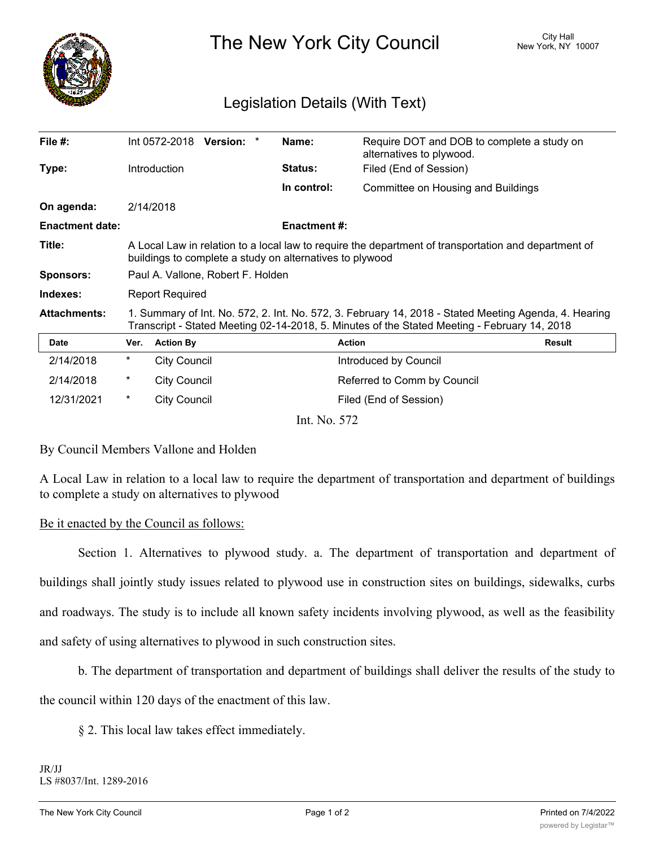

The New York City Council New York, NY 10007

## Legislation Details (With Text)

| File $#$ :             |                                                                                                                                                                                                       |                     | Int 0572-2018 Version: * |  | Name:               | Require DOT and DOB to complete a study on<br>alternatives to plywood. |        |
|------------------------|-------------------------------------------------------------------------------------------------------------------------------------------------------------------------------------------------------|---------------------|--------------------------|--|---------------------|------------------------------------------------------------------------|--------|
| Type:                  |                                                                                                                                                                                                       | <b>Introduction</b> |                          |  | <b>Status:</b>      | Filed (End of Session)                                                 |        |
|                        |                                                                                                                                                                                                       |                     |                          |  | In control:         | Committee on Housing and Buildings                                     |        |
| On agenda:             |                                                                                                                                                                                                       | 2/14/2018           |                          |  |                     |                                                                        |        |
| <b>Enactment date:</b> |                                                                                                                                                                                                       |                     |                          |  | <b>Enactment #:</b> |                                                                        |        |
| Title:                 | A Local Law in relation to a local law to require the department of transportation and department of<br>buildings to complete a study on alternatives to plywood                                      |                     |                          |  |                     |                                                                        |        |
| <b>Sponsors:</b>       | Paul A. Vallone, Robert F. Holden                                                                                                                                                                     |                     |                          |  |                     |                                                                        |        |
| Indexes:               | <b>Report Required</b>                                                                                                                                                                                |                     |                          |  |                     |                                                                        |        |
| <b>Attachments:</b>    | 1. Summary of Int. No. 572, 2. Int. No. 572, 3. February 14, 2018 - Stated Meeting Agenda, 4. Hearing<br>Transcript - Stated Meeting 02-14-2018, 5. Minutes of the Stated Meeting - February 14, 2018 |                     |                          |  |                     |                                                                        |        |
| Date                   | Ver.                                                                                                                                                                                                  | <b>Action By</b>    |                          |  |                     | <b>Action</b>                                                          | Result |
| 2/14/2018              | $^\star$                                                                                                                                                                                              | City Council        |                          |  |                     | Introduced by Council                                                  |        |
| 2/14/2018              | $^\ast$                                                                                                                                                                                               | City Council        |                          |  |                     | Referred to Comm by Council                                            |        |

Int. No. 572

12/31/2021 \* City Council Council Filed (End of Session)

## By Council Members Vallone and Holden

A Local Law in relation to a local law to require the department of transportation and department of buildings to complete a study on alternatives to plywood

## Be it enacted by the Council as follows:

Section 1. Alternatives to plywood study. a. The department of transportation and department of buildings shall jointly study issues related to plywood use in construction sites on buildings, sidewalks, curbs and roadways. The study is to include all known safety incidents involving plywood, as well as the feasibility and safety of using alternatives to plywood in such construction sites.

b. The department of transportation and department of buildings shall deliver the results of the study to

the council within 120 days of the enactment of this law.

§ 2. This local law takes effect immediately.